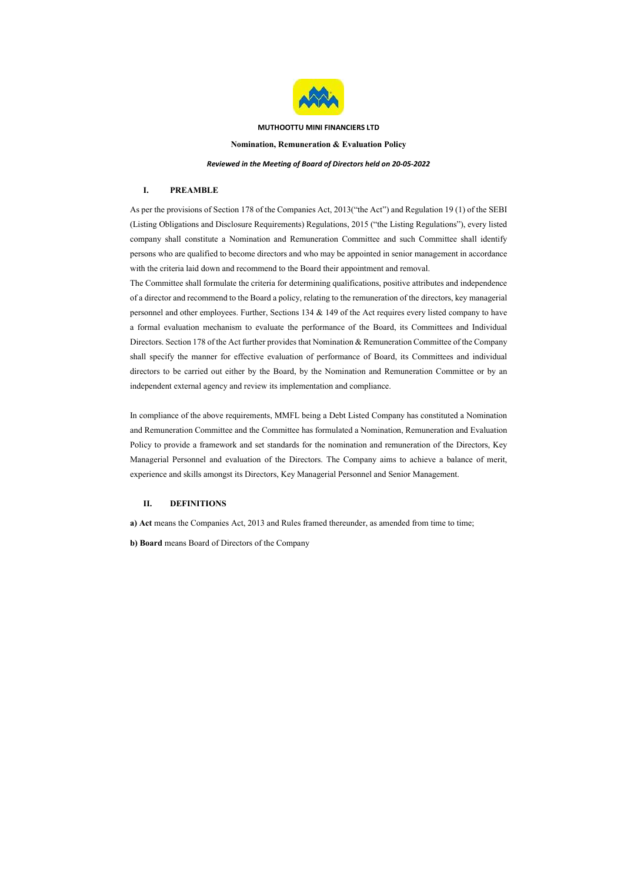

# MUTHOOTTU MINI FINANCIERS LTD Nomination, Remuneration & Evaluation Policy Reviewed in the Meeting of Board of Directors held on 20-05-2022

## I. PREAMBLE

As per the provisions of Section 178 of the Companies Act, 2013("the Act") and Regulation 19 (1) of the SEBI (Listing Obligations and Disclosure Requirements) Regulations, 2015 ("the Listing Regulations"), every listed company shall constitute a Nomination and Remuneration Committee and such Committee shall identify persons who are qualified to become directors and who may be appointed in senior management in accordance with the criteria laid down and recommend to the Board their appointment and removal.

The Committee shall formulate the criteria for determining qualifications, positive attributes and independence of a director and recommend to the Board a policy, relating to the remuneration of the directors, key managerial personnel and other employees. Further, Sections 134 & 149 of the Act requires every listed company to have a formal evaluation mechanism to evaluate the performance of the Board, its Committees and Individual Directors. Section 178 of the Act further provides that Nomination & Remuneration Committee of the Company shall specify the manner for effective evaluation of performance of Board, its Committees and individual directors to be carried out either by the Board, by the Nomination and Remuneration Committee or by an independent external agency and review its implementation and compliance.

In compliance of the above requirements, MMFL being a Debt Listed Company has constituted a Nomination and Remuneration Committee and the Committee has formulated a Nomination, Remuneration and Evaluation Policy to provide a framework and set standards for the nomination and remuneration of the Directors, Key Managerial Personnel and evaluation of the Directors. The Company aims to achieve a balance of merit, experience and skills amongst its Directors, Key Managerial Personnel and Senior Management.

## II. DEFINITIONS

a) Act means the Companies Act, 2013 and Rules framed thereunder, as amended from time to time;

b) Board means Board of Directors of the Company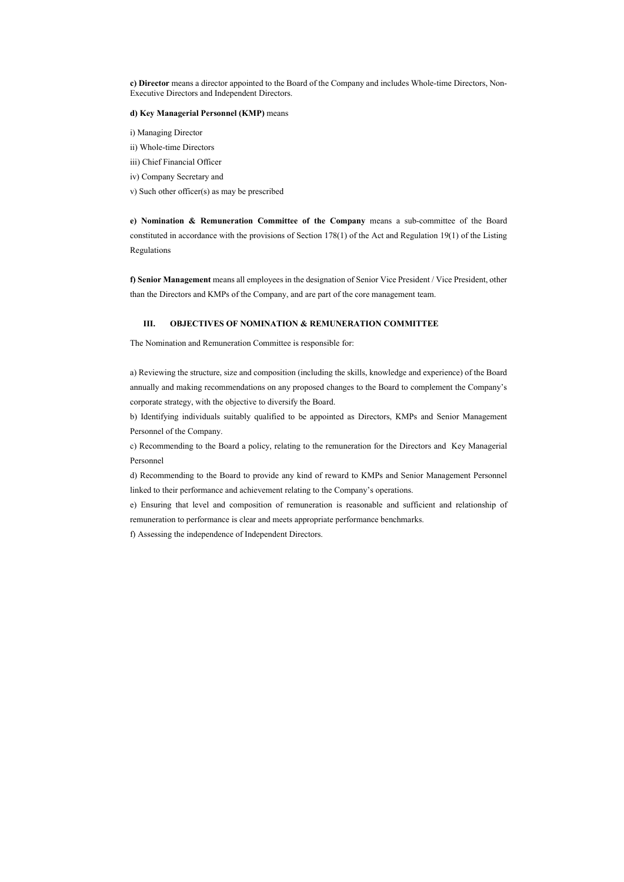c) Director means a director appointed to the Board of the Company and includes Whole-time Directors, Non-Executive Directors and Independent Directors.

#### d) Key Managerial Personnel (KMP) means

- i) Managing Director
- ii) Whole-time Directors
- iii) Chief Financial Officer
- iv) Company Secretary and
- v) Such other officer(s) as may be prescribed

e) Nomination & Remuneration Committee of the Company means a sub-committee of the Board constituted in accordance with the provisions of Section 178(1) of the Act and Regulation 19(1) of the Listing Regulations

f) Senior Management means all employees in the designation of Senior Vice President / Vice President, other than the Directors and KMPs of the Company, and are part of the core management team.

### III. OBJECTIVES OF NOMINATION & REMUNERATION COMMITTEE

The Nomination and Remuneration Committee is responsible for:

a) Reviewing the structure, size and composition (including the skills, knowledge and experience) of the Board annually and making recommendations on any proposed changes to the Board to complement the Company's corporate strategy, with the objective to diversify the Board.

b) Identifying individuals suitably qualified to be appointed as Directors, KMPs and Senior Management Personnel of the Company.

c) Recommending to the Board a policy, relating to the remuneration for the Directors and Key Managerial Personnel

d) Recommending to the Board to provide any kind of reward to KMPs and Senior Management Personnel linked to their performance and achievement relating to the Company's operations.

e) Ensuring that level and composition of remuneration is reasonable and sufficient and relationship of remuneration to performance is clear and meets appropriate performance benchmarks.

f) Assessing the independence of Independent Directors.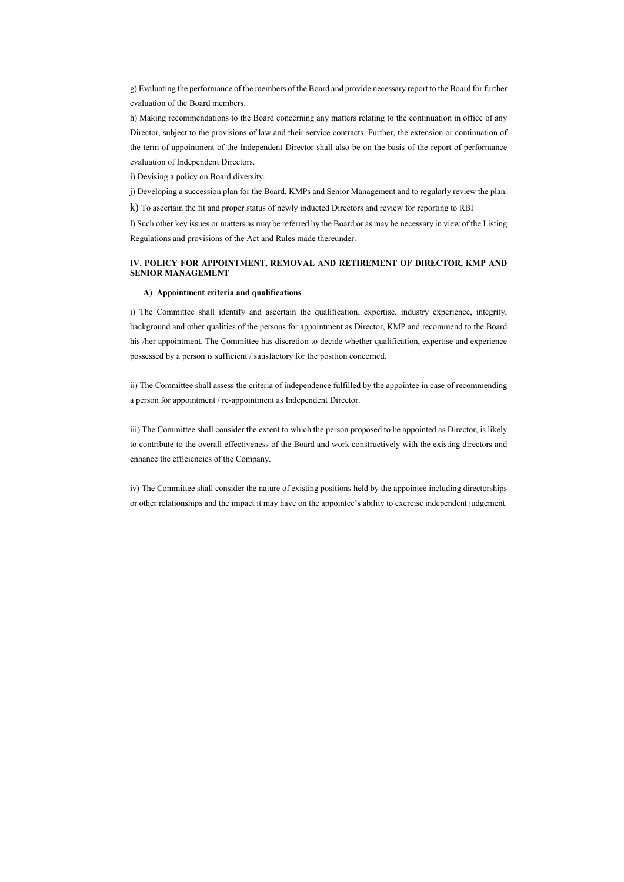g) Evaluating the performance of the members of the Board and provide necessary report to the Board for further evaluation of the Board members.

h) Making recommendations to the Board concerning any matters relating to the continuation in office of any Director, subject to the provisions of law and their service contracts. Further, the extension or continuation of the term of appointment of the Independent Director shall also be on the basis of the report of performance evaluation of Independent Directors.

i) Devising a policy on Board diversity.

j) Developing a succession plan for the Board, KMPs and Senior Management and to regularly review the plan.

k) To ascertain the fit and proper status of newly inducted Directors and review for reporting to RBI

l) Such other key issues or matters as may be referred by the Board or as may be necessary in view of the Listing Regulations and provisions of the Act and Rules made thereunder.

## IV. POLICY FOR APPOINTMENT, REMOVAL AND RETIREMENT OF DIRECTOR, KMP AND SENIOR MANAGEMENT

#### A) Appointment criteria and qualifications

i) The Committee shall identify and ascertain the qualification, expertise, industry experience, integrity, background and other qualities of the persons for appointment as Director, KMP and recommend to the Board his /her appointment. The Committee has discretion to decide whether qualification, expertise and experience possessed by a person is sufficient / satisfactory for the position concerned.

ii) The Committee shall assess the criteria of independence fulfilled by the appointee in case of recommending a person for appointment / re-appointment as Independent Director.

iii) The Committee shall consider the extent to which the person proposed to be appointed as Director, is likely to contribute to the overall effectiveness of the Board and work constructively with the existing directors and enhance the efficiencies of the Company.

iv) The Committee shall consider the nature of existing positions held by the appointee including directorships or other relationships and the impact it may have on the appointee's ability to exercise independent judgement.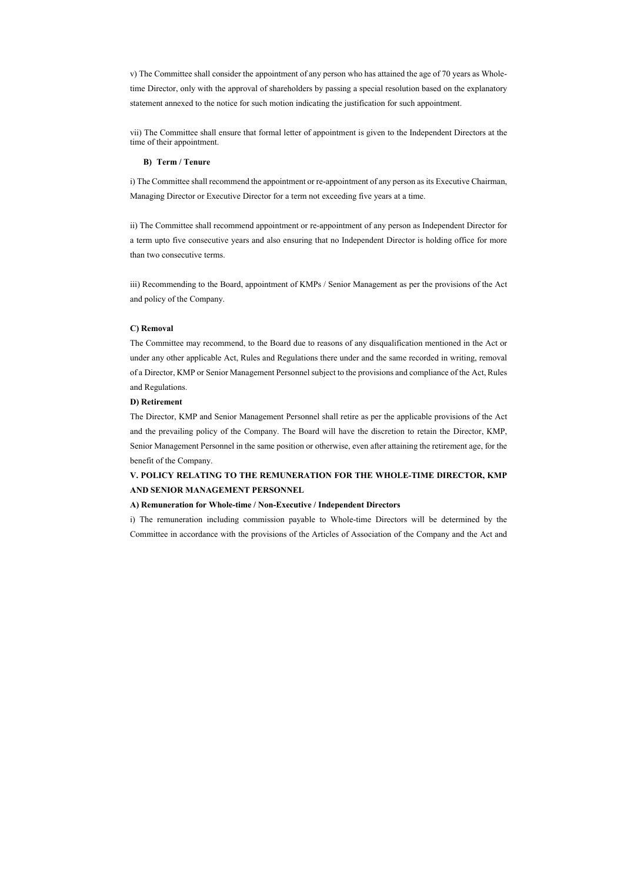v) The Committee shall consider the appointment of any person who has attained the age of 70 years as Wholetime Director, only with the approval of shareholders by passing a special resolution based on the explanatory statement annexed to the notice for such motion indicating the justification for such appointment.

vii) The Committee shall ensure that formal letter of appointment is given to the Independent Directors at the time of their appointment.

#### B) Term / Tenure

i) The Committee shall recommend the appointment or re-appointment of any person as its Executive Chairman, Managing Director or Executive Director for a term not exceeding five years at a time.

ii) The Committee shall recommend appointment or re-appointment of any person as Independent Director for a term upto five consecutive years and also ensuring that no Independent Director is holding office for more than two consecutive terms.

iii) Recommending to the Board, appointment of KMPs / Senior Management as per the provisions of the Act and policy of the Company.

#### C) Removal

The Committee may recommend, to the Board due to reasons of any disqualification mentioned in the Act or under any other applicable Act, Rules and Regulations there under and the same recorded in writing, removal of a Director, KMP or Senior Management Personnel subject to the provisions and compliance of the Act, Rules and Regulations.

## D) Retirement

The Director, KMP and Senior Management Personnel shall retire as per the applicable provisions of the Act and the prevailing policy of the Company. The Board will have the discretion to retain the Director, KMP, Senior Management Personnel in the same position or otherwise, even after attaining the retirement age, for the benefit of the Company.

## V. POLICY RELATING TO THE REMUNERATION FOR THE WHOLE-TIME DIRECTOR, KMP AND SENIOR MANAGEMENT PERSONNEL

#### A) Remuneration for Whole-time / Non-Executive / Independent Directors

i) The remuneration including commission payable to Whole-time Directors will be determined by the Committee in accordance with the provisions of the Articles of Association of the Company and the Act and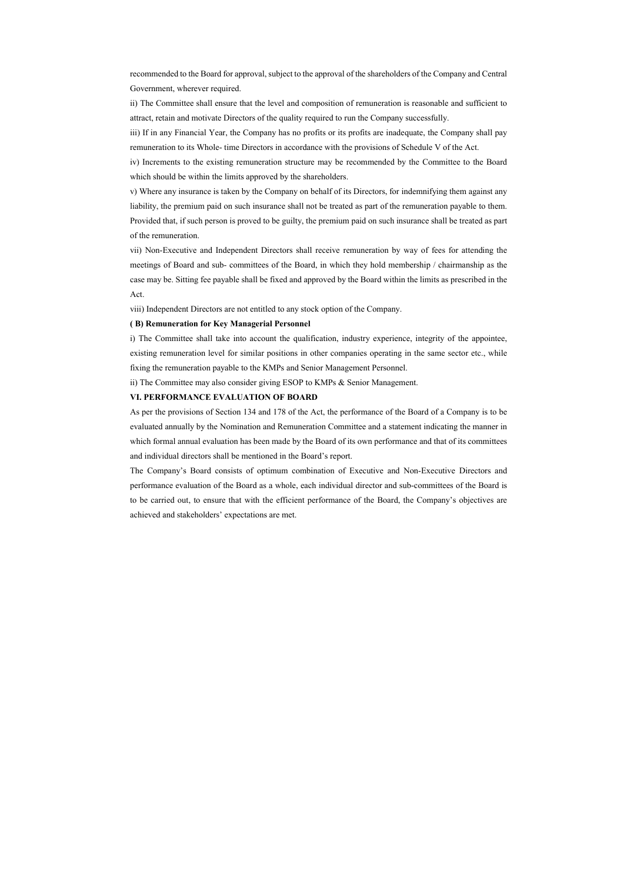recommended to the Board for approval, subject to the approval of the shareholders of the Company and Central Government, wherever required.

ii) The Committee shall ensure that the level and composition of remuneration is reasonable and sufficient to attract, retain and motivate Directors of the quality required to run the Company successfully.

iii) If in any Financial Year, the Company has no profits or its profits are inadequate, the Company shall pay remuneration to its Whole- time Directors in accordance with the provisions of Schedule V of the Act.

iv) Increments to the existing remuneration structure may be recommended by the Committee to the Board which should be within the limits approved by the shareholders.

v) Where any insurance is taken by the Company on behalf of its Directors, for indemnifying them against any liability, the premium paid on such insurance shall not be treated as part of the remuneration payable to them. Provided that, if such person is proved to be guilty, the premium paid on such insurance shall be treated as part of the remuneration.

vii) Non-Executive and Independent Directors shall receive remuneration by way of fees for attending the meetings of Board and sub- committees of the Board, in which they hold membership / chairmanship as the case may be. Sitting fee payable shall be fixed and approved by the Board within the limits as prescribed in the Act.

viii) Independent Directors are not entitled to any stock option of the Company.

#### ( B) Remuneration for Key Managerial Personnel

i) The Committee shall take into account the qualification, industry experience, integrity of the appointee, existing remuneration level for similar positions in other companies operating in the same sector etc., while fixing the remuneration payable to the KMPs and Senior Management Personnel.

ii) The Committee may also consider giving ESOP to KMPs & Senior Management.

#### VI. PERFORMANCE EVALUATION OF BOARD

As per the provisions of Section 134 and 178 of the Act, the performance of the Board of a Company is to be evaluated annually by the Nomination and Remuneration Committee and a statement indicating the manner in which formal annual evaluation has been made by the Board of its own performance and that of its committees and individual directors shall be mentioned in the Board's report.

The Company's Board consists of optimum combination of Executive and Non-Executive Directors and performance evaluation of the Board as a whole, each individual director and sub-committees of the Board is to be carried out, to ensure that with the efficient performance of the Board, the Company's objectives are achieved and stakeholders' expectations are met.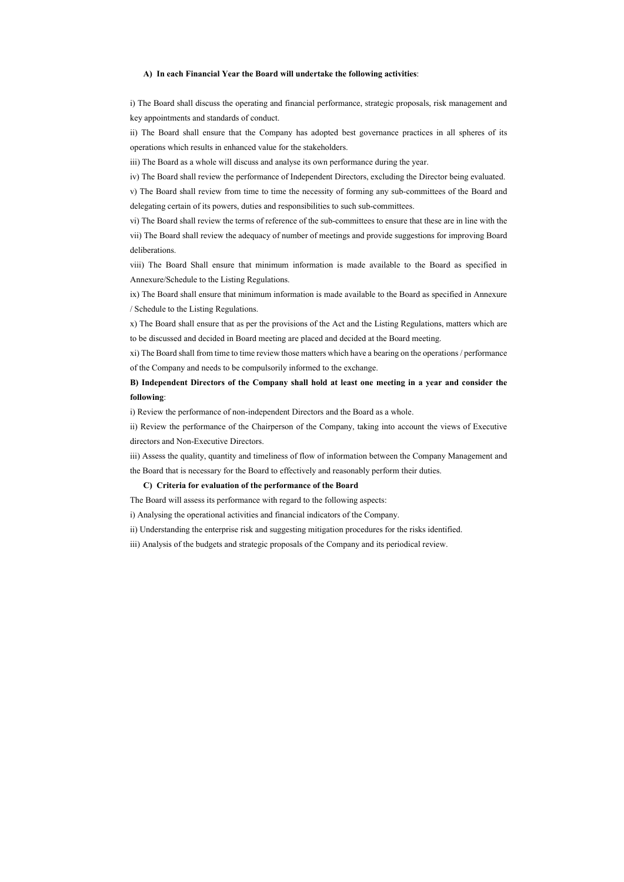#### A) In each Financial Year the Board will undertake the following activities:

i) The Board shall discuss the operating and financial performance, strategic proposals, risk management and key appointments and standards of conduct.

ii) The Board shall ensure that the Company has adopted best governance practices in all spheres of its operations which results in enhanced value for the stakeholders.

iii) The Board as a whole will discuss and analyse its own performance during the year.

iv) The Board shall review the performance of Independent Directors, excluding the Director being evaluated. v) The Board shall review from time to time the necessity of forming any sub-committees of the Board and delegating certain of its powers, duties and responsibilities to such sub-committees.

vi) The Board shall review the terms of reference of the sub-committees to ensure that these are in line with the vii) The Board shall review the adequacy of number of meetings and provide suggestions for improving Board deliberations.

viii) The Board Shall ensure that minimum information is made available to the Board as specified in Annexure/Schedule to the Listing Regulations.

ix) The Board shall ensure that minimum information is made available to the Board as specified in Annexure / Schedule to the Listing Regulations.

x) The Board shall ensure that as per the provisions of the Act and the Listing Regulations, matters which are to be discussed and decided in Board meeting are placed and decided at the Board meeting.

xi) The Board shall from time to time review those matters which have a bearing on the operations / performance of the Company and needs to be compulsorily informed to the exchange.

B) Independent Directors of the Company shall hold at least one meeting in a year and consider the following:

i) Review the performance of non-independent Directors and the Board as a whole.

ii) Review the performance of the Chairperson of the Company, taking into account the views of Executive directors and Non-Executive Directors.

iii) Assess the quality, quantity and timeliness of flow of information between the Company Management and the Board that is necessary for the Board to effectively and reasonably perform their duties.

#### C) Criteria for evaluation of the performance of the Board

The Board will assess its performance with regard to the following aspects:

i) Analysing the operational activities and financial indicators of the Company.

ii) Understanding the enterprise risk and suggesting mitigation procedures for the risks identified.

iii) Analysis of the budgets and strategic proposals of the Company and its periodical review.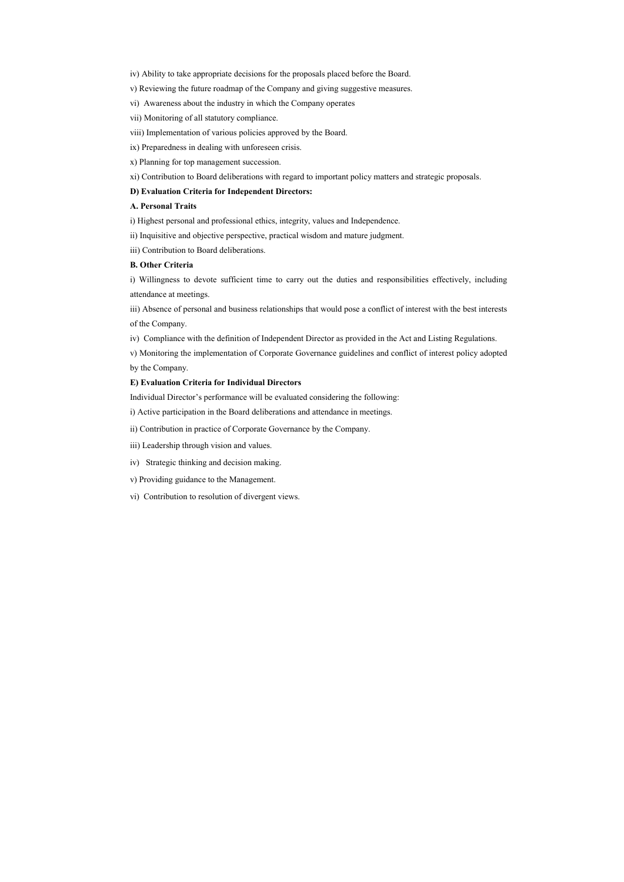- iv) Ability to take appropriate decisions for the proposals placed before the Board.
- v) Reviewing the future roadmap of the Company and giving suggestive measures.
- vi) Awareness about the industry in which the Company operates
- vii) Monitoring of all statutory compliance.
- viii) Implementation of various policies approved by the Board.
- ix) Preparedness in dealing with unforeseen crisis.
- x) Planning for top management succession.
- xi) Contribution to Board deliberations with regard to important policy matters and strategic proposals.

## D) Evaluation Criteria for Independent Directors:

#### A. Personal Traits

- i) Highest personal and professional ethics, integrity, values and Independence.
- ii) Inquisitive and objective perspective, practical wisdom and mature judgment.
- iii) Contribution to Board deliberations.

## B. Other Criteria

i) Willingness to devote sufficient time to carry out the duties and responsibilities effectively, including attendance at meetings.

iii) Absence of personal and business relationships that would pose a conflict of interest with the best interests of the Company.

iv) Compliance with the definition of Independent Director as provided in the Act and Listing Regulations.

v) Monitoring the implementation of Corporate Governance guidelines and conflict of interest policy adopted by the Company.

#### E) Evaluation Criteria for Individual Directors

Individual Director's performance will be evaluated considering the following:

i) Active participation in the Board deliberations and attendance in meetings.

ii) Contribution in practice of Corporate Governance by the Company.

iii) Leadership through vision and values.

- iv) Strategic thinking and decision making.
- v) Providing guidance to the Management.
- vi) Contribution to resolution of divergent views.